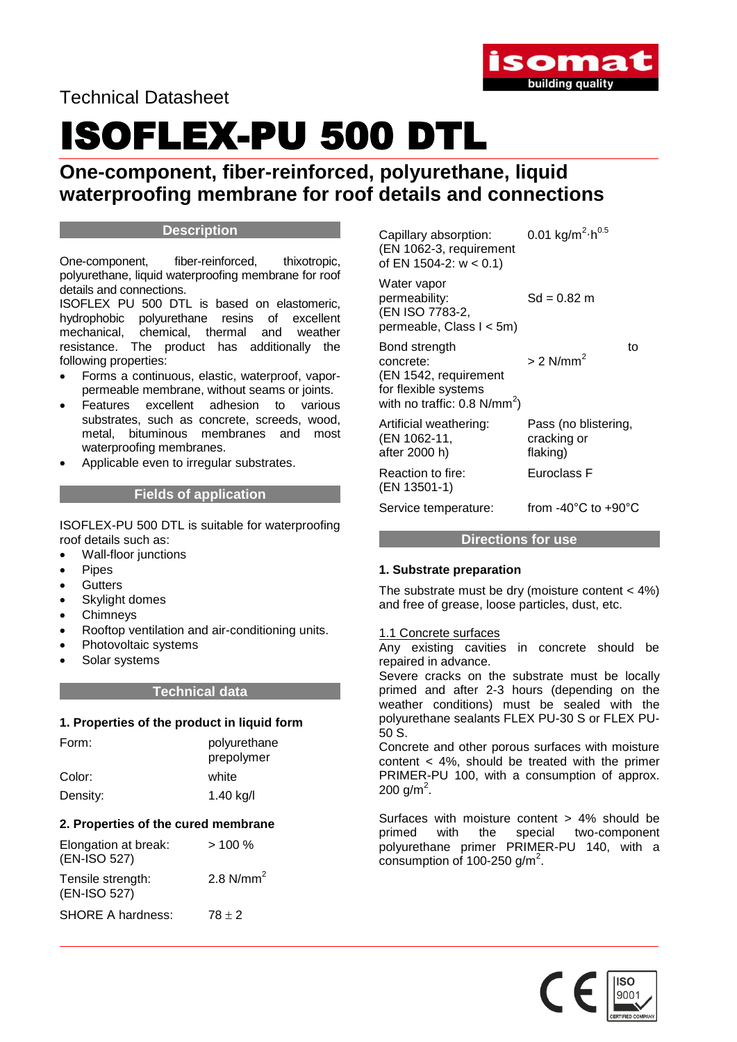

Technical Datasheet

## ISOFLEX-PU 500 DTL

## **One-component, fiber-reinforced, polyurethane, liquid waterproofing membrane for roof details and connections**

#### **Description**

One-component, fiber-reinforced, thixotropic, polyurethane, liquid waterproofing membrane for roof details and connections.

ISOFLEX PU 500 DTL is based on elastomeric, hydrophobic polyurethane resins of excellent mechanical, chemical, thermal and weather resistance. The product has additionally the following properties:

- Forms a continuous, elastic, waterproof, vaporpermeable membrane, without seams or joints.
- Features excellent adhesion to various substrates, such as concrete, screeds, wood, metal, bituminous membranes and most waterproofing membranes.
- Applicable even to irregular substrates.

#### **Fields of application**

ISOFLEX-PU 500 DTL is suitable for waterproofing roof details such as:

- Wall-floor junctions
- Pipes
- **Gutters**
- Skylight domes
- Chimneys
- Rooftop ventilation and air-conditioning units.
- Photovoltaic systems
- Solar systems

#### **Technical data**

#### **1. Properties of the product in liquid form**

| Form:    | polyurethane<br>prepolymer |
|----------|----------------------------|
| Color:   | white                      |
| Density: | 1.40 $kg/l$                |

#### **2. Properties of the cured membrane**

| Elongation at break:<br>(EN-ISO 527) | >100%       |
|--------------------------------------|-------------|
| Tensile strength:<br>(EN-ISO 527)    | 2.8 $N/mm2$ |
| <b>SHORE A hardness:</b>             | $78 + 2$    |

Capillary absorption:  $^{2} \cdot h^{0.5}$ (EN 1062-3, requirement of EN 1504-2: w < 0.1)

Water vapor permeability: Sd = 0.82 m (EN ISO 7783-2, permeable, Class I < 5m)

Bond strength to the strength to the strength to the strength of the strength of the strength of the strength of the strength of the strength of the strength of the strength of the strength of the strength of the strength concrete:  $> 2$  N/mm<sup>2</sup> (EN 1542, requirement for flexible systems with no traffic:  $0.8 \text{ N/mm}^2$ )

Artificial weathering: Pass (no blistering,

(EN 1062-11, cracking or after 2000 h) flaking) Reaction to fire: Euroclass F

(EN 13501-1)

Service temperature: from -40°C to +90°C

**Directions for use**

#### **1. Substrate preparation**

The substrate must be dry (moisture content  $<$  4%) and free of grease, loose particles, dust, etc.

#### 1.1 Concrete surfaces

Any existing cavities in concrete should be repaired in advance.

Severe cracks on the substrate must be locally primed and after 2-3 hours (depending on the weather conditions) must be sealed with the polyurethane sealants FLEX PU-30 S or FLEX PU-50 S.

Concrete and other porous surfaces with moisture content < 4%, should be treated with the primer PRIMER-PU 100, with a consumption of approx. 200 g/m<sup>2</sup>.

Surfaces with moisture content > 4% should be primed with the special two-component polyurethane primer PRIMER-PU 140, with a  $\frac{1}{2}$  consumption of 100-250 g/m<sup>2</sup>.

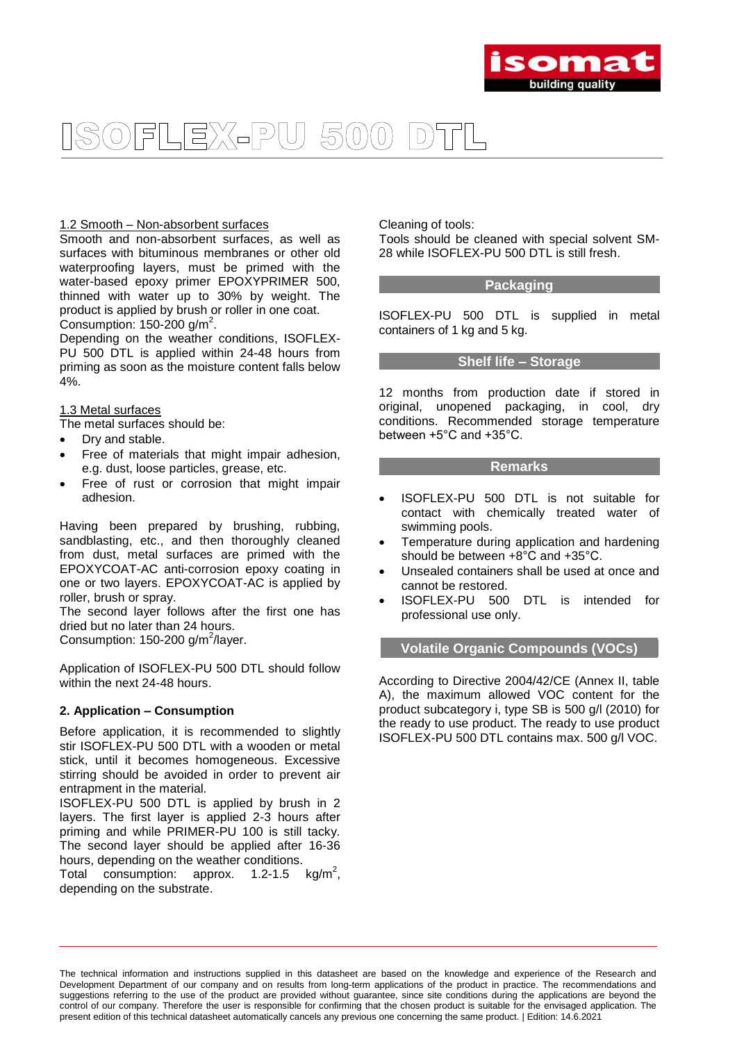

### FLEX-PU 500  $|D)$

#### 1.2 Smooth – Non-absorbent surfaces

Smooth and non-absorbent surfaces, as well as surfaces with bituminous membranes or other old waterproofing layers, must be primed with the water-based epoxy primer EPOXYPRIMER 500, thinned with water up to 30% by weight. The product is applied by brush or roller in one coat. Consumption:  $150-200$  g/m<sup>2</sup>.

Depending on the weather conditions, ISOFLEX-PU 500 DTL is applied within 24-48 hours from priming as soon as the moisture content falls below 4%.

#### 1.3 Metal surfaces

The metal surfaces should be:

- Dry and stable.
- Free of materials that might impair adhesion, e.g. dust, loose particles, grease, etc.
- Free of rust or corrosion that might impair adhesion.

Having been prepared by brushing, rubbing, sandblasting, etc., and then thoroughly cleaned from dust, metal surfaces are primed with the EPOXYCOAT-AC anti-corrosion epoxy coating in one or two layers. EPOXYCOAT-AC is applied by roller, brush or spray.

The second layer follows after the first one has dried but no later than 24 hours.

Consumption:  $150-200$  g/m<sup>2</sup>/layer.

Application of ISOFLEX-PU 500 DTL should follow within the next 24-48 hours.

#### **2. Application – Consumption**

Before application, it is recommended to slightly stir ISOFLEX-PU 500 DTL with a wooden or metal stick, until it becomes homogeneous. Excessive stirring should be avoided in order to prevent air entrapment in the material.

ISOFLEX-PU 500 DTL is applied by brush in 2 layers. The first layer is applied 2-3 hours after priming and while PRIMER-PU 100 is still tacky. The second layer should be applied after 16-36 hours, depending on the weather conditions.

Total consumption: approx.  $1.2 - 1.5$  kg/m<sup>2</sup>, depending on the substrate.

Cleaning of tools:

Tools should be cleaned with special solvent SM-28 while ISOFLEX-PU 500 DTL is still fresh.

#### **Packaging**

ISOFLEX-PU 500 DTL is supplied in metal containers of 1 kg and 5 kg.

#### **Shelf life – Storage**

12 months from production date if stored in original, unopened packaging, in cool, dry conditions. Recommended storage temperature between +5°C and +35°C.

#### **Remarks**

- ISOFLEX-PU 500 DTL is not suitable for contact with chemically treated water of swimming pools.
- Temperature during application and hardening should be between +8°C and +35°C.
- Unsealed containers shall be used at once and cannot be restored.
- ISOFLEX-PU 500 DTL is intended for professional use only.

#### **Volatile Organic Compounds (VOCs)**

According to Directive 2004/42/CE (Annex II, table A), the maximum allowed VOC content for the product subcategory i, type SB is 500 g/l (2010) for the ready to use product. The ready to use product ISOFLEX-PU 500 DTL contains max. 500 g/l VOC.

The technical information and instructions supplied in this datasheet are based on the knowledge and experience of the Research and Development Department of our company and on results from long-term applications of the product in practice. The recommendations and suggestions referring to the use of the product are provided without guarantee, since site conditions during the applications are beyond the control of our company. Therefore the user is responsible for confirming that the chosen product is suitable for the envisaged application. The present edition of this technical datasheet automatically cancels any previous one concerning the same product. | Edition: 14.6.2021